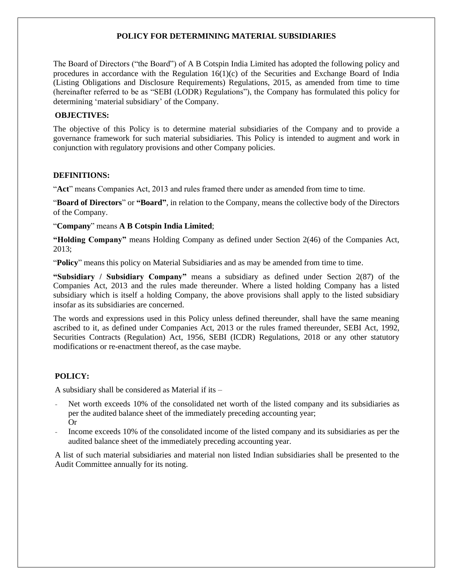## **POLICY FOR DETERMINING MATERIAL SUBSIDIARIES**

The Board of Directors ("the Board") of A B Cotspin India Limited has adopted the following policy and procedures in accordance with the Regulation 16(1)(c) of the Securities and Exchange Board of India (Listing Obligations and Disclosure Requirements) Regulations, 2015, as amended from time to time (hereinafter referred to be as "SEBI (LODR) Regulations"), the Company has formulated this policy for determining 'material subsidiary' of the Company.

### **OBJECTIVES:**

The objective of this Policy is to determine material subsidiaries of the Company and to provide a governance framework for such material subsidiaries. This Policy is intended to augment and work in conjunction with regulatory provisions and other Company policies.

### **DEFINITIONS:**

"**Act**" means Companies Act, 2013 and rules framed there under as amended from time to time.

"**Board of Directors**" or **"Board"**, in relation to the Company, means the collective body of the Directors of the Company.

"**Company**" means **A B Cotspin India Limited**;

**"Holding Company"** means Holding Company as defined under Section 2(46) of the Companies Act, 2013;

"**Policy**" means this policy on Material Subsidiaries and as may be amended from time to time.

**"Subsidiary / Subsidiary Company"** means a subsidiary as defined under Section 2(87) of the Companies Act, 2013 and the rules made thereunder. Where a listed holding Company has a listed subsidiary which is itself a holding Company, the above provisions shall apply to the listed subsidiary insofar as its subsidiaries are concerned.

The words and expressions used in this Policy unless defined thereunder, shall have the same meaning ascribed to it, as defined under Companies Act, 2013 or the rules framed thereunder, SEBI Act, 1992, Securities Contracts (Regulation) Act, 1956, SEBI (ICDR) Regulations, 2018 or any other statutory modifications or re-enactment thereof, as the case maybe.

## **POLICY:**

A subsidiary shall be considered as Material if its –

- Net worth exceeds 10% of the consolidated net worth of the listed company and its subsidiaries as per the audited balance sheet of the immediately preceding accounting year; Or
- Income exceeds 10% of the consolidated income of the listed company and its subsidiaries as per the audited balance sheet of the immediately preceding accounting year.

A list of such material subsidiaries and material non listed Indian subsidiaries shall be presented to the Audit Committee annually for its noting.